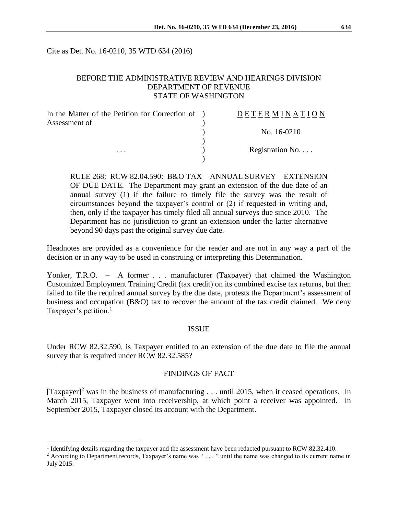Cite as Det. No. 16-0210, 35 WTD 634 (2016)

#### BEFORE THE ADMINISTRATIVE REVIEW AND HEARINGS DIVISION DEPARTMENT OF REVENUE STATE OF WASHINGTON

| In the Matter of the Petition for Correction of ) | <b>DETERMINATION</b> |
|---------------------------------------------------|----------------------|
| Assessment of<br>$\cdots$                         |                      |
|                                                   | No. 16-0210          |
|                                                   |                      |
|                                                   | Registration No      |
|                                                   |                      |

RULE 268; RCW 82.04.590: B&O TAX – ANNUAL SURVEY – EXTENSION OF DUE DATE. The Department may grant an extension of the due date of an annual survey (1) if the failure to timely file the survey was the result of circumstances beyond the taxpayer's control or (2) if requested in writing and, then, only if the taxpayer has timely filed all annual surveys due since 2010. The Department has no jurisdiction to grant an extension under the latter alternative beyond 90 days past the original survey due date.

Headnotes are provided as a convenience for the reader and are not in any way a part of the decision or in any way to be used in construing or interpreting this Determination.

Yonker, T.R.O. – A former . . . manufacturer (Taxpayer) that claimed the Washington Customized Employment Training Credit (tax credit) on its combined excise tax returns, but then failed to file the required annual survey by the due date, protests the Department's assessment of business and occupation (B&O) tax to recover the amount of the tax credit claimed. We deny Taxpayer's petition.<sup>1</sup>

#### ISSUE

Under RCW 82.32.590, is Taxpayer entitled to an extension of the due date to file the annual survey that is required under RCW 82.32.585?

## FINDINGS OF FACT

[Taxpayer]<sup>2</sup> was in the business of manufacturing  $\dots$  until 2015, when it ceased operations. In March 2015, Taxpayer went into receivership, at which point a receiver was appointed. In September 2015, Taxpayer closed its account with the Department.

 $\overline{a}$ 

<sup>&</sup>lt;sup>1</sup> Identifying details regarding the taxpayer and the assessment have been redacted pursuant to RCW 82.32.410.

<sup>&</sup>lt;sup>2</sup> According to Department records, Taxpayer's name was " . . . " until the name was changed to its current name in July 2015.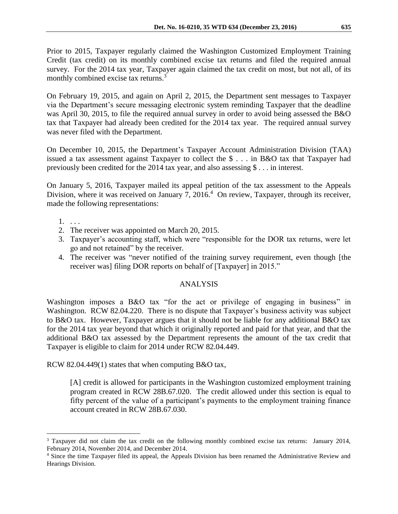Prior to 2015, Taxpayer regularly claimed the Washington Customized Employment Training Credit (tax credit) on its monthly combined excise tax returns and filed the required annual survey. For the 2014 tax year, Taxpayer again claimed the tax credit on most, but not all, of its monthly combined excise tax returns.<sup>3</sup>

On February 19, 2015, and again on April 2, 2015, the Department sent messages to Taxpayer via the Department's secure messaging electronic system reminding Taxpayer that the deadline was April 30, 2015, to file the required annual survey in order to avoid being assessed the B&O tax that Taxpayer had already been credited for the 2014 tax year. The required annual survey was never filed with the Department.

On December 10, 2015, the Department's Taxpayer Account Administration Division (TAA) issued a tax assessment against Taxpayer to collect the \$ . . . in B&O tax that Taxpayer had previously been credited for the 2014 tax year, and also assessing \$ . . . in interest.

On January 5, 2016, Taxpayer mailed its appeal petition of the tax assessment to the Appeals Division, where it was received on January 7, 2016.<sup>4</sup> On review, Taxpayer, through its receiver, made the following representations:

1. . . .

 $\overline{a}$ 

- 2. The receiver was appointed on March 20, 2015.
- 3. Taxpayer's accounting staff, which were "responsible for the DOR tax returns, were let go and not retained" by the receiver.
- 4. The receiver was "never notified of the training survey requirement, even though [the receiver was] filing DOR reports on behalf of [Taxpayer] in 2015."

## ANALYSIS

Washington imposes a B&O tax "for the act or privilege of engaging in business" in Washington. RCW 82.04.220. There is no dispute that Taxpayer's business activity was subject to B&O tax. However, Taxpayer argues that it should not be liable for any additional B&O tax for the 2014 tax year beyond that which it originally reported and paid for that year, and that the additional B&O tax assessed by the Department represents the amount of the tax credit that Taxpayer is eligible to claim for 2014 under RCW 82.04.449.

RCW 82.04.449(1) states that when computing B&O tax,

[A] credit is allowed for participants in the Washington customized employment training program created in RCW 28B.67.020. The credit allowed under this section is equal to fifty percent of the value of a participant's payments to the employment training finance account created in RCW 28B.67.030.

<sup>3</sup> Taxpayer did not claim the tax credit on the following monthly combined excise tax returns: January 2014, February 2014, November 2014, and December 2014.

<sup>4</sup> Since the time Taxpayer filed its appeal, the Appeals Division has been renamed the Administrative Review and Hearings Division.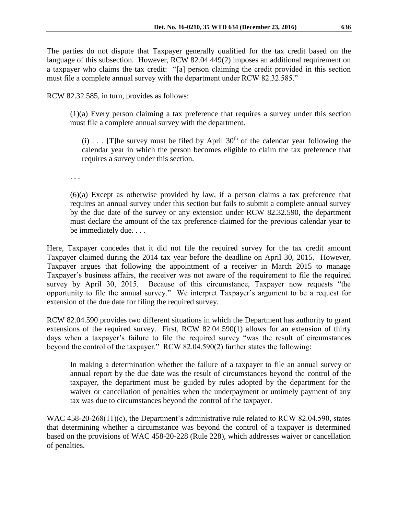The parties do not dispute that Taxpayer generally qualified for the tax credit based on the language of this subsection. However, RCW 82.04.449(2) imposes an additional requirement on a taxpayer who claims the tax credit: "[a] person claiming the credit provided in this section must file a complete annual survey with the department under RCW 82.32.585."

RCW 82.32.585, in turn, provides as follows:

(1)(a) Every person claiming a tax preference that requires a survey under this section must file a complete annual survey with the department.

(i) . . . [T]he survey must be filed by April  $30<sup>th</sup>$  of the calendar year following the calendar year in which the person becomes eligible to claim the tax preference that requires a survey under this section.

. . .

(6)(a) Except as otherwise provided by law, if a person claims a tax preference that requires an annual survey under this section but fails to submit a complete annual survey by the due date of the survey or any extension under RCW 82.32.590, the department must declare the amount of the tax preference claimed for the previous calendar year to be immediately due. . . .

Here, Taxpayer concedes that it did not file the required survey for the tax credit amount Taxpayer claimed during the 2014 tax year before the deadline on April 30, 2015. However, Taxpayer argues that following the appointment of a receiver in March 2015 to manage Taxpayer's business affairs, the receiver was not aware of the requirement to file the required survey by April 30, 2015. Because of this circumstance, Taxpayer now requests "the opportunity to file the annual survey." We interpret Taxpayer's argument to be a request for extension of the due date for filing the required survey.

RCW 82.04.590 provides two different situations in which the Department has authority to grant extensions of the required survey. First, RCW 82.04.590(1) allows for an extension of thirty days when a taxpayer's failure to file the required survey "was the result of circumstances beyond the control of the taxpayer." RCW 82.04.590(2) further states the following:

In making a determination whether the failure of a taxpayer to file an annual survey or annual report by the due date was the result of circumstances beyond the control of the taxpayer, the department must be guided by rules adopted by the department for the waiver or cancellation of penalties when the underpayment or untimely payment of any tax was due to circumstances beyond the control of the taxpayer.

WAC 458-20-268(11)(c), the Department's administrative rule related to RCW 82.04.590, states that determining whether a circumstance was beyond the control of a taxpayer is determined based on the provisions of WAC 458-20-228 (Rule 228), which addresses waiver or cancellation of penalties.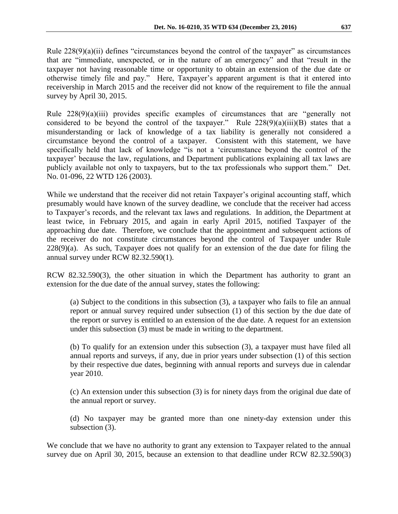Rule  $228(9)(a)(ii)$  defines "circumstances beyond the control of the taxpayer" as circumstances that are "immediate, unexpected, or in the nature of an emergency" and that "result in the taxpayer not having reasonable time or opportunity to obtain an extension of the due date or otherwise timely file and pay." Here, Taxpayer's apparent argument is that it entered into receivership in March 2015 and the receiver did not know of the requirement to file the annual survey by April 30, 2015.

Rule 228(9)(a)(iii) provides specific examples of circumstances that are "generally not considered to be beyond the control of the taxpayer." Rule  $228(9)(a)(iii)(B)$  states that a misunderstanding or lack of knowledge of a tax liability is generally not considered a circumstance beyond the control of a taxpayer. Consistent with this statement, we have specifically held that lack of knowledge "is not a 'circumstance beyond the control of the taxpayer' because the law, regulations, and Department publications explaining all tax laws are publicly available not only to taxpayers, but to the tax professionals who support them." Det. No. 01-096, 22 WTD 126 (2003).

While we understand that the receiver did not retain Taxpayer's original accounting staff, which presumably would have known of the survey deadline, we conclude that the receiver had access to Taxpayer's records, and the relevant tax laws and regulations. In addition, the Department at least twice, in February 2015, and again in early April 2015, notified Taxpayer of the approaching due date. Therefore, we conclude that the appointment and subsequent actions of the receiver do not constitute circumstances beyond the control of Taxpayer under Rule  $228(9)(a)$ . As such, Taxpayer does not qualify for an extension of the due date for filing the annual survey under RCW 82.32.590(1).

RCW 82.32.590(3), the other situation in which the Department has authority to grant an extension for the due date of the annual survey, states the following:

(a) Subject to the conditions in this subsection (3), a taxpayer who fails to file an annual report or annual survey required under subsection (1) of this section by the due date of the report or survey is entitled to an extension of the due date. A request for an extension under this subsection (3) must be made in writing to the department.

(b) To qualify for an extension under this subsection (3), a taxpayer must have filed all annual reports and surveys, if any, due in prior years under subsection (1) of this section by their respective due dates, beginning with annual reports and surveys due in calendar year 2010.

(c) An extension under this subsection (3) is for ninety days from the original due date of the annual report or survey.

(d) No taxpayer may be granted more than one ninety-day extension under this subsection (3).

We conclude that we have no authority to grant any extension to Taxpayer related to the annual survey due on April 30, 2015, because an extension to that deadline under RCW 82.32.590(3)